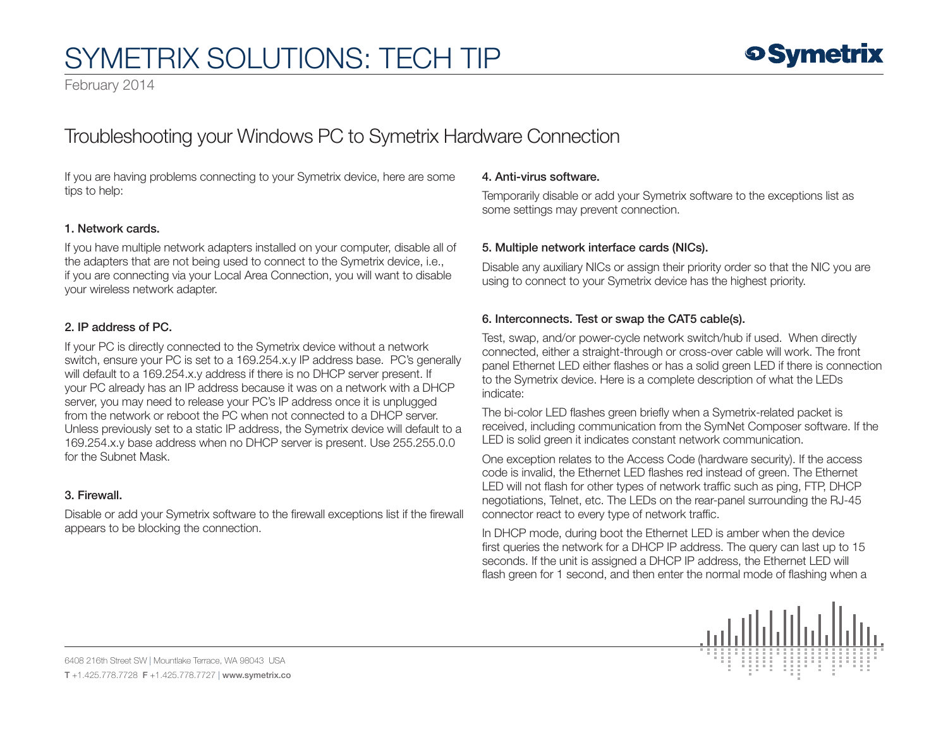# SYMETRIX SOLUTIONS: TECH TIP

February 2014

# Troubleshooting your Windows PC to Symetrix Hardware Connection

If you are having problems connecting to your Symetrix device, here are some tips to help:

## 1. Network cards.

If you have multiple network adapters installed on your computer, disable all of the adapters that are not being used to connect to the Symetrix device, i.e., if you are connecting via your Local Area Connection, you will want to disable your wireless network adapter.

#### 2. IP address of PC.

If your PC is directly connected to the Symetrix device without a network switch, ensure your PC is set to a 169.254.x.y IP address base. PC's generally will default to a 169.254.x.y address if there is no DHCP server present. If your PC already has an IP address because it was on a network with a DHCP server, you may need to release your PC's IP address once it is unplugged from the network or reboot the PC when not connected to a DHCP server. Unless previously set to a static IP address, the Symetrix device will default to a 169.254.x.y base address when no DHCP server is present. Use 255.255.0.0 for the Subnet Mask.

#### 3. Firewall.

Disable or add your Symetrix software to the firewall exceptions list if the firewall appears to be blocking the connection.

#### 4. Anti-virus software.

Temporarily disable or add your Symetrix software to the exceptions list as some settings may prevent connection.

### 5. Multiple network interface cards (NICs).

Disable any auxiliary NICs or assign their priority order so that the NIC you are using to connect to your Symetrix device has the highest priority.

### 6. Interconnects. Test or swap the CAT5 cable(s).

Test, swap, and/or power-cycle network switch/hub if used. When directly connected, either a straight-through or cross-over cable will work. The front panel Ethernet LED either flashes or has a solid green LED if there is connection to the Symetrix device. Here is a complete description of what the LEDs indicate:

The bi-color LED flashes green briefly when a Symetrix-related packet is received, including communication from the SymNet Composer software. If the LED is solid green it indicates constant network communication.

One exception relates to the Access Code (hardware security). If the access code is invalid, the Ethernet LED flashes red instead of green. The Ethernet LED will not flash for other types of network traffic such as ping, FTP, DHCP negotiations, Telnet, etc. The LEDs on the rear-panel surrounding the RJ-45 connector react to every type of network traffic.

In DHCP mode, during boot the Ethernet LED is amber when the device first queries the network for a DHCP IP address. The query can last up to 15 seconds. If the unit is assigned a DHCP IP address, the Ethernet LED will flash green for 1 second, and then enter the normal mode of flashing when a